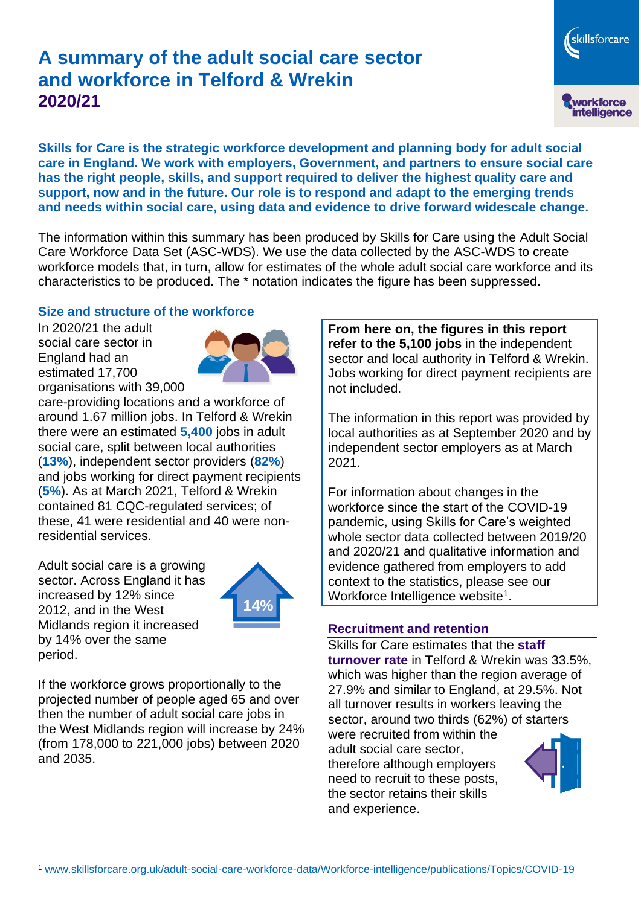# **A summary of the adult social care sector and workforce in Telford & Wrekin 2020/21**

skillsforcare workforce<br>intelligence

**Skills for Care is the strategic workforce development and planning body for adult social care in England. We work with employers, Government, and partners to ensure social care has the right people, skills, and support required to deliver the highest quality care and support, now and in the future. Our role is to respond and adapt to the emerging trends and needs within social care, using data and evidence to drive forward widescale change.**

The information within this summary has been produced by Skills for Care using the Adult Social Care Workforce Data Set (ASC-WDS). We use the data collected by the ASC-WDS to create workforce models that, in turn, allow for estimates of the whole adult social care workforce and its characteristics to be produced. The \* notation indicates the figure has been suppressed.

## **Size and structure of the workforce**

In 2020/21 the adult social care sector in England had an estimated 17,700 organisations with 39,000



care-providing locations and a workforce of around 1.67 million jobs. In Telford & Wrekin there were an estimated **5,400** jobs in adult social care, split between local authorities (**13%**), independent sector providers (**82%**) and jobs working for direct payment recipients (**5%**). As at March 2021, Telford & Wrekin contained 81 CQC-regulated services; of these, 41 were residential and 40 were nonresidential services.

Adult social care is a growing sector. Across England it has increased by 12% since 2012, and in the West Midlands region it increased by 14% over the same period.



If the workforce grows proportionally to the projected number of people aged 65 and over then the number of adult social care jobs in the West Midlands region will increase by 24% (from 178,000 to 221,000 jobs) between 2020 and 2035.

**From here on, the figures in this report refer to the 5,100 jobs** in the independent sector and local authority in Telford & Wrekin. Jobs working for direct payment recipients are not included.

The information in this report was provided by local authorities as at September 2020 and by independent sector employers as at March 2021.

For information about changes in the workforce since the start of the COVID-19 pandemic, using Skills for Care's weighted whole sector data collected between 2019/20 and 2020/21 and qualitative information and evidence gathered from employers to add context to the statistics, please see our Workforce Intelligence website<sup>1</sup>.

## **Recruitment and retention**

Skills for Care estimates that the **staff turnover rate** in Telford & Wrekin was 33.5%, which was higher than the region average of 27.9% and similar to England, at 29.5%. Not all turnover results in workers leaving the sector, around two thirds (62%) of starters were recruited from within the

adult social care sector, therefore although employers need to recruit to these posts, the sector retains their skills and experience.

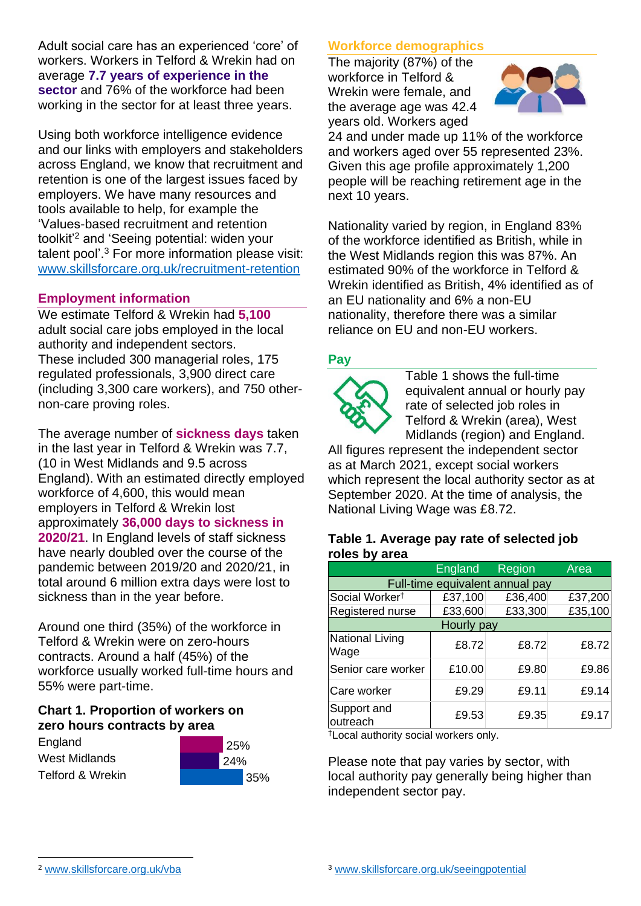Adult social care has an experienced 'core' of workers. Workers in Telford & Wrekin had on average **7.7 years of experience in the sector** and 76% of the workforce had been working in the sector for at least three years.

Using both workforce intelligence evidence and our links with employers and stakeholders across England, we know that recruitment and retention is one of the largest issues faced by employers. We have many resources and tools available to help, for example the 'Values-based recruitment and retention toolkit'<sup>2</sup> and 'Seeing potential: widen your talent pool'. <sup>3</sup> For more information please visit: [www.skillsforcare.org.uk/recruitment-retention](http://www.skillsforcare.org.uk/recruitment-retention)

## **Employment information**

We estimate Telford & Wrekin had **5,100** adult social care jobs employed in the local authority and independent sectors. These included 300 managerial roles, 175 regulated professionals, 3,900 direct care (including 3,300 care workers), and 750 othernon-care proving roles.

The average number of **sickness days** taken in the last year in Telford & Wrekin was 7.7, (10 in West Midlands and 9.5 across England). With an estimated directly employed workforce of 4,600, this would mean employers in Telford & Wrekin lost approximately **36,000 days to sickness in 2020/21**. In England levels of staff sickness have nearly doubled over the course of the pandemic between 2019/20 and 2020/21, in total around 6 million extra days were lost to sickness than in the year before.

Around one third (35%) of the workforce in Telford & Wrekin were on zero-hours contracts. Around a half (45%) of the workforce usually worked full-time hours and 55% were part-time.

#### **Chart 1. Proportion of workers on zero hours contracts by area**

England West Midlands Telford & Wrekin



## **Workforce demographics**

The majority (87%) of the workforce in Telford & Wrekin were female, and the average age was 42.4 years old. Workers aged



24 and under made up 11% of the workforce and workers aged over 55 represented 23%. Given this age profile approximately 1,200 people will be reaching retirement age in the next 10 years.

Nationality varied by region, in England 83% of the workforce identified as British, while in the West Midlands region this was 87%. An estimated 90% of the workforce in Telford & Wrekin identified as British, 4% identified as of an EU nationality and 6% a non-EU nationality, therefore there was a similar reliance on EU and non-EU workers.

#### **Pay**



Table 1 shows the full-time equivalent annual or hourly pay rate of selected job roles in Telford & Wrekin (area), West Midlands (region) and England.

All figures represent the independent sector as at March 2021, except social workers which represent the local authority sector as at September 2020. At the time of analysis, the National Living Wage was £8.72.

#### **Table 1. Average pay rate of selected job roles by area**

|                                 | <b>England</b> | Region  | Area    |
|---------------------------------|----------------|---------|---------|
| Full-time equivalent annual pay |                |         |         |
| Social Worker <sup>t</sup>      | £37,100        | £36,400 | £37,200 |
| Registered nurse                | £33,600        | £33,300 | £35,100 |
| Hourly pay                      |                |         |         |
| National Living<br>Wage         | £8.72          | £8.72   | £8.72   |
| Senior care worker              | £10.00         | £9.80   | £9.86   |
| Care worker                     | £9.29          | £9.11   | £9.14   |
| Support and<br>outreach         | £9.53          | £9.35   | £9.17   |

†Local authority social workers only.

Please note that pay varies by sector, with local authority pay generally being higher than independent sector pay.

[www.skillsforcare.org.uk/vba](http://www.skillsforcare.org.uk/vba)